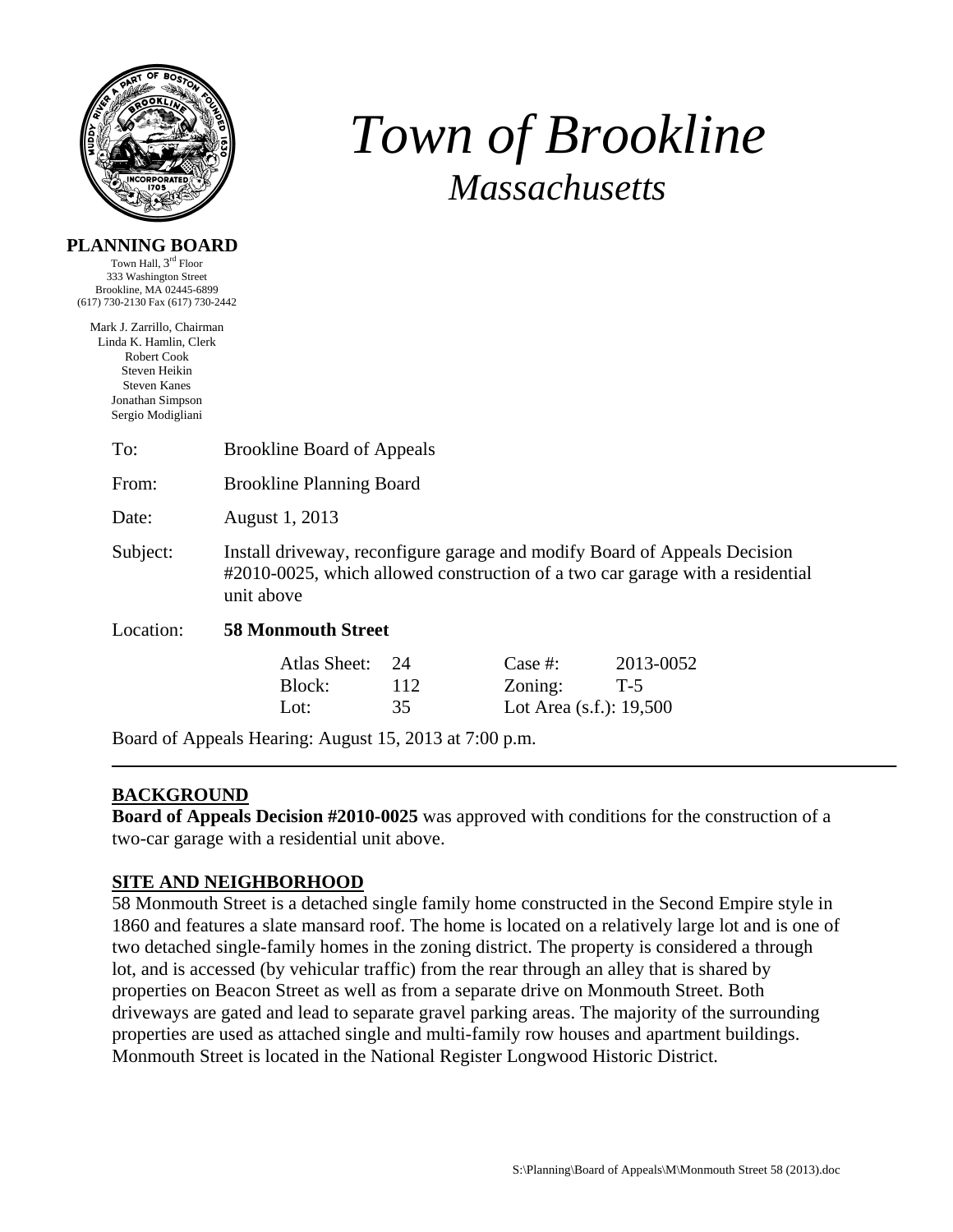

**PLANNING BOARD**  Town Hall, 3rd Floor

# *Town of Brookline Massachusetts*

| Brookline, MA 02445-6899<br>(617) 730-2130 Fax (617) 730-2442<br>Mark J. Zarrillo, Chairman<br>Linda K. Hamlin, Clerk |                                                                                                                                                                          |                 |                                                  |                    |  |  |  |  |
|-----------------------------------------------------------------------------------------------------------------------|--------------------------------------------------------------------------------------------------------------------------------------------------------------------------|-----------------|--------------------------------------------------|--------------------|--|--|--|--|
|                                                                                                                       |                                                                                                                                                                          |                 |                                                  |                    |  |  |  |  |
| Robert Cook<br>Steven Heikin<br><b>Steven Kanes</b><br>Jonathan Simpson<br>Sergio Modigliani                          |                                                                                                                                                                          |                 |                                                  |                    |  |  |  |  |
| To:                                                                                                                   | <b>Brookline Board of Appeals</b>                                                                                                                                        |                 |                                                  |                    |  |  |  |  |
| From:                                                                                                                 | <b>Brookline Planning Board</b>                                                                                                                                          |                 |                                                  |                    |  |  |  |  |
| Date:                                                                                                                 | August 1, 2013                                                                                                                                                           |                 |                                                  |                    |  |  |  |  |
| Subject:                                                                                                              | Install driveway, reconfigure garage and modify Board of Appeals Decision<br>#2010-0025, which allowed construction of a two car garage with a residential<br>unit above |                 |                                                  |                    |  |  |  |  |
| Location:                                                                                                             | <b>58 Monmouth Street</b>                                                                                                                                                |                 |                                                  |                    |  |  |  |  |
|                                                                                                                       | Atlas Sheet:<br>Block:<br>Lot:                                                                                                                                           | 24<br>112<br>35 | Case $#$ :<br>Zoning:<br>Lot Area (s.f.): 19,500 | 2013-0052<br>$T-5$ |  |  |  |  |
|                                                                                                                       | Board of Appeals Hearing: August 15, 2013 at 7:00 p.m.                                                                                                                   |                 |                                                  |                    |  |  |  |  |

## **BACKGROUND**

**Board of Appeals Decision #2010-0025** was approved with conditions for the construction of a two-car garage with a residential unit above.

### **SITE AND NEIGHBORHOOD**

58 Monmouth Street is a detached single family home constructed in the Second Empire style in 1860 and features a slate mansard roof. The home is located on a relatively large lot and is one of two detached single-family homes in the zoning district. The property is considered a through lot, and is accessed (by vehicular traffic) from the rear through an alley that is shared by properties on Beacon Street as well as from a separate drive on Monmouth Street. Both driveways are gated and lead to separate gravel parking areas. The majority of the surrounding properties are used as attached single and multi-family row houses and apartment buildings. Monmouth Street is located in the National Register Longwood Historic District.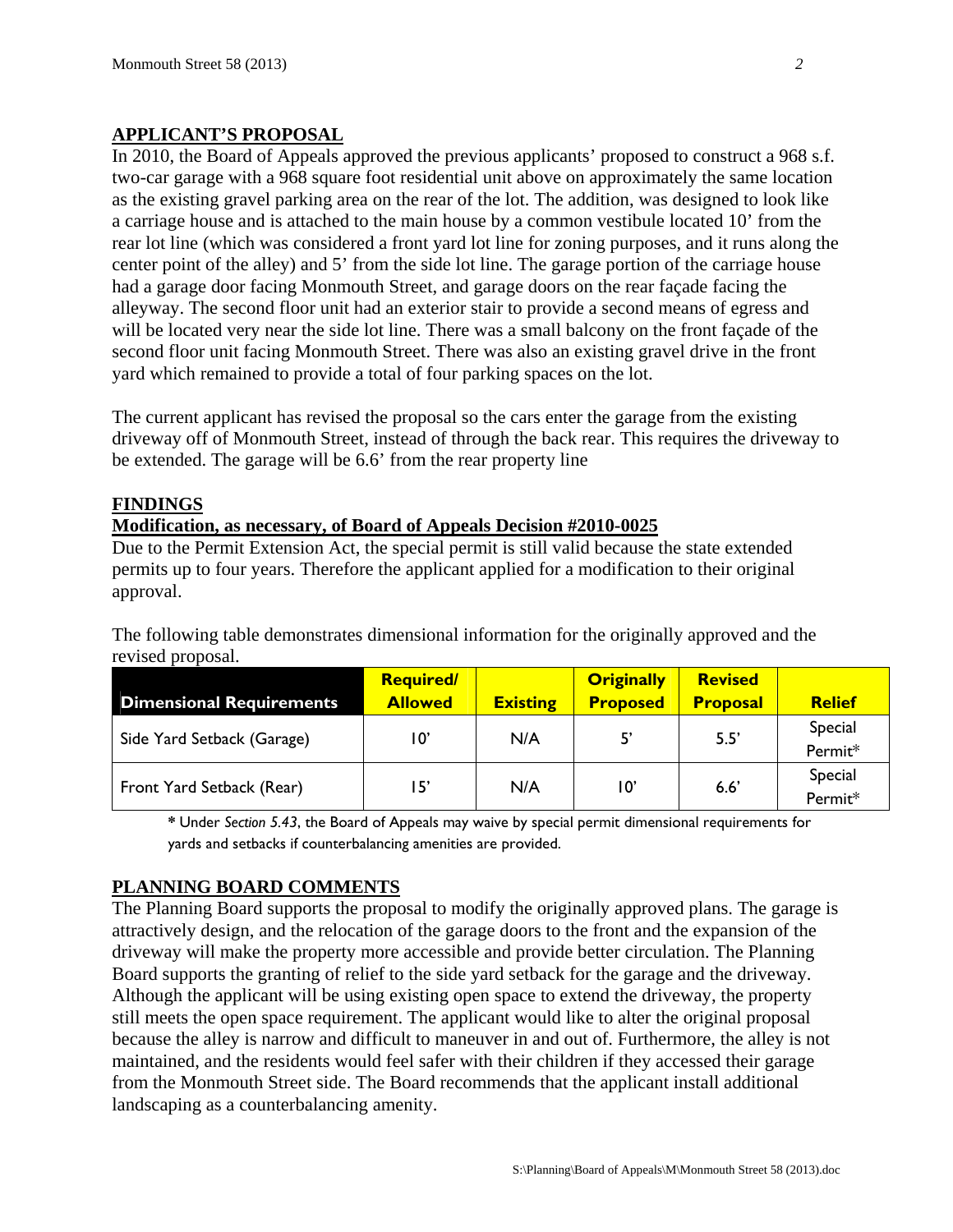## **APPLICANT'S PROPOSAL**

In 2010, the Board of Appeals approved the previous applicants' proposed to construct a 968 s.f. two-car garage with a 968 square foot residential unit above on approximately the same location as the existing gravel parking area on the rear of the lot. The addition, was designed to look like a carriage house and is attached to the main house by a common vestibule located 10' from the rear lot line (which was considered a front yard lot line for zoning purposes, and it runs along the center point of the alley) and 5' from the side lot line. The garage portion of the carriage house had a garage door facing Monmouth Street, and garage doors on the rear façade facing the alleyway. The second floor unit had an exterior stair to provide a second means of egress and will be located very near the side lot line. There was a small balcony on the front façade of the second floor unit facing Monmouth Street. There was also an existing gravel drive in the front yard which remained to provide a total of four parking spaces on the lot.

The current applicant has revised the proposal so the cars enter the garage from the existing driveway off of Monmouth Street, instead of through the back rear. This requires the driveway to be extended. The garage will be 6.6' from the rear property line

### **FINDINGS**

#### **Modification, as necessary, of Board of Appeals Decision #2010-0025**

Due to the Permit Extension Act, the special permit is still valid because the state extended permits up to four years. Therefore the applicant applied for a modification to their original approval.

The following table demonstrates dimensional information for the originally approved and the revised proposal.

| <b>Dimensional Requirements</b> | <b>Required/</b><br><b>Allowed</b> | <b>Existing</b> | <b>Originally</b><br><b>Proposed</b> | <b>Revised</b><br><b>Proposal</b> | <b>Relief</b>      |
|---------------------------------|------------------------------------|-----------------|--------------------------------------|-----------------------------------|--------------------|
| Side Yard Setback (Garage)      | 10'                                | N/A             | 5,                                   | 5.5'                              | Special<br>Permit* |
| Front Yard Setback (Rear)       | 15'                                | N/A             | $10^{\circ}$                         | 6.6'                              | Special<br>Permit* |

**\*** Under *Section 5.43*, the Board of Appeals may waive by special permit dimensional requirements for yards and setbacks if counterbalancing amenities are provided.

### **PLANNING BOARD COMMENTS**

The Planning Board supports the proposal to modify the originally approved plans. The garage is attractively design, and the relocation of the garage doors to the front and the expansion of the driveway will make the property more accessible and provide better circulation. The Planning Board supports the granting of relief to the side yard setback for the garage and the driveway. Although the applicant will be using existing open space to extend the driveway, the property still meets the open space requirement. The applicant would like to alter the original proposal because the alley is narrow and difficult to maneuver in and out of. Furthermore, the alley is not maintained, and the residents would feel safer with their children if they accessed their garage from the Monmouth Street side. The Board recommends that the applicant install additional landscaping as a counterbalancing amenity.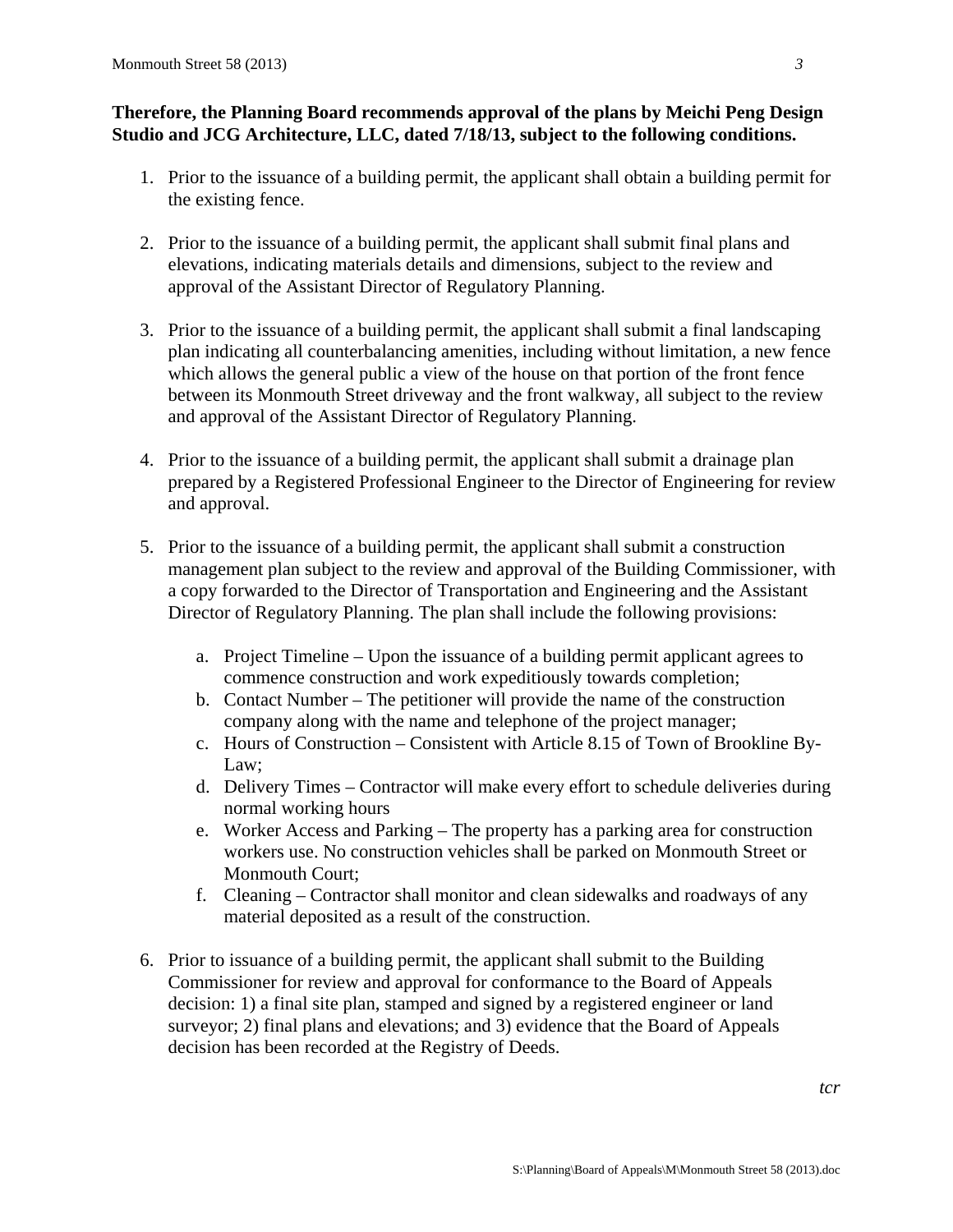## **Therefore, the Planning Board recommends approval of the plans by Meichi Peng Design Studio and JCG Architecture, LLC, dated 7/18/13, subject to the following conditions.**

- 1. Prior to the issuance of a building permit, the applicant shall obtain a building permit for the existing fence.
- 2. Prior to the issuance of a building permit, the applicant shall submit final plans and elevations, indicating materials details and dimensions, subject to the review and approval of the Assistant Director of Regulatory Planning.
- 3. Prior to the issuance of a building permit, the applicant shall submit a final landscaping plan indicating all counterbalancing amenities, including without limitation, a new fence which allows the general public a view of the house on that portion of the front fence between its Monmouth Street driveway and the front walkway, all subject to the review and approval of the Assistant Director of Regulatory Planning.
- 4. Prior to the issuance of a building permit, the applicant shall submit a drainage plan prepared by a Registered Professional Engineer to the Director of Engineering for review and approval.
- 5. Prior to the issuance of a building permit, the applicant shall submit a construction management plan subject to the review and approval of the Building Commissioner, with a copy forwarded to the Director of Transportation and Engineering and the Assistant Director of Regulatory Planning. The plan shall include the following provisions:
	- a. Project Timeline Upon the issuance of a building permit applicant agrees to commence construction and work expeditiously towards completion;
	- b. Contact Number The petitioner will provide the name of the construction company along with the name and telephone of the project manager;
	- c. Hours of Construction Consistent with Article 8.15 of Town of Brookline By-Law:
	- d. Delivery Times Contractor will make every effort to schedule deliveries during normal working hours
	- e. Worker Access and Parking The property has a parking area for construction workers use. No construction vehicles shall be parked on Monmouth Street or Monmouth Court;
	- f. Cleaning Contractor shall monitor and clean sidewalks and roadways of any material deposited as a result of the construction.
- 6. Prior to issuance of a building permit, the applicant shall submit to the Building Commissioner for review and approval for conformance to the Board of Appeals decision: 1) a final site plan, stamped and signed by a registered engineer or land surveyor; 2) final plans and elevations; and 3) evidence that the Board of Appeals decision has been recorded at the Registry of Deeds.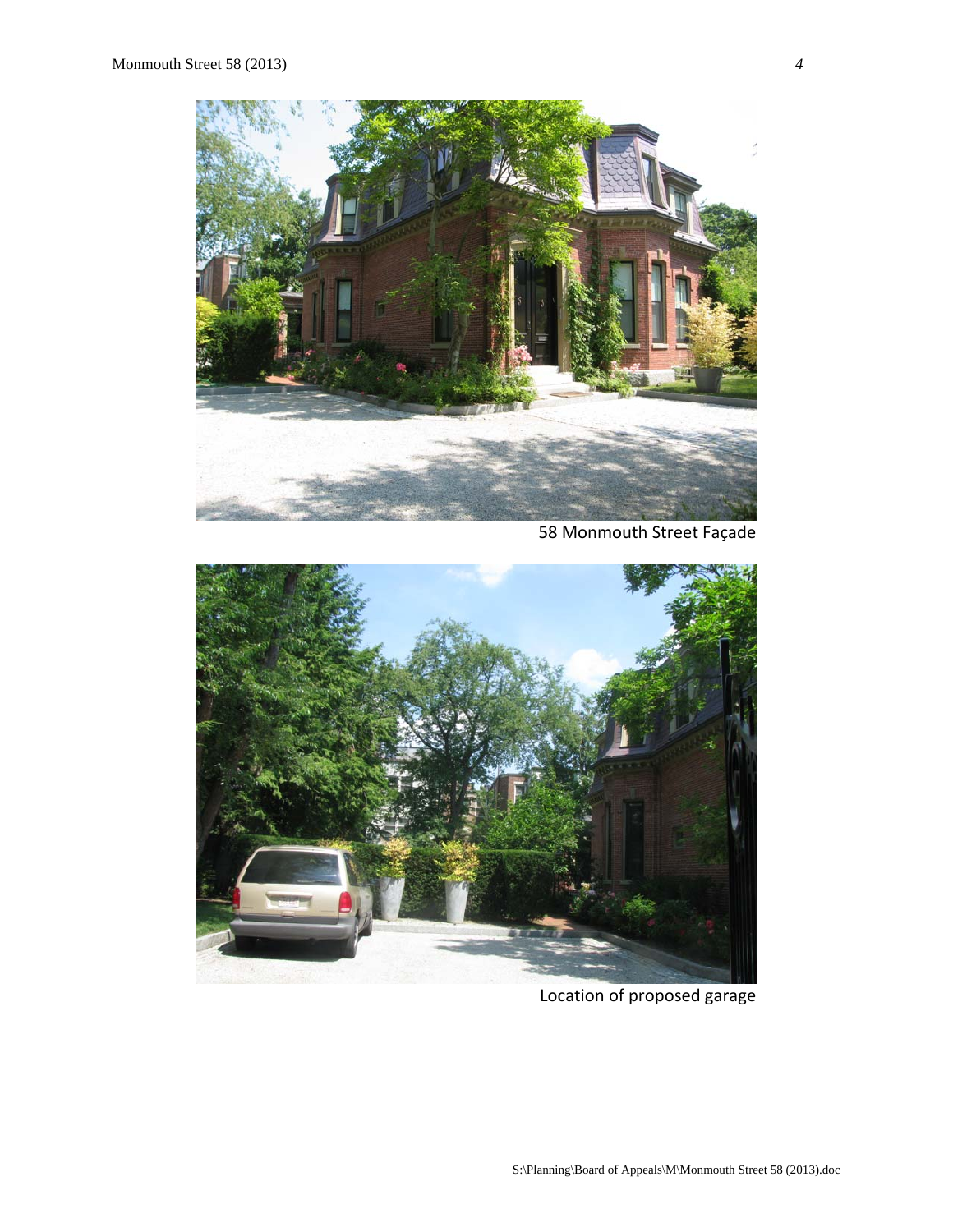

58 Monmouth Street Façade



Location of proposed garage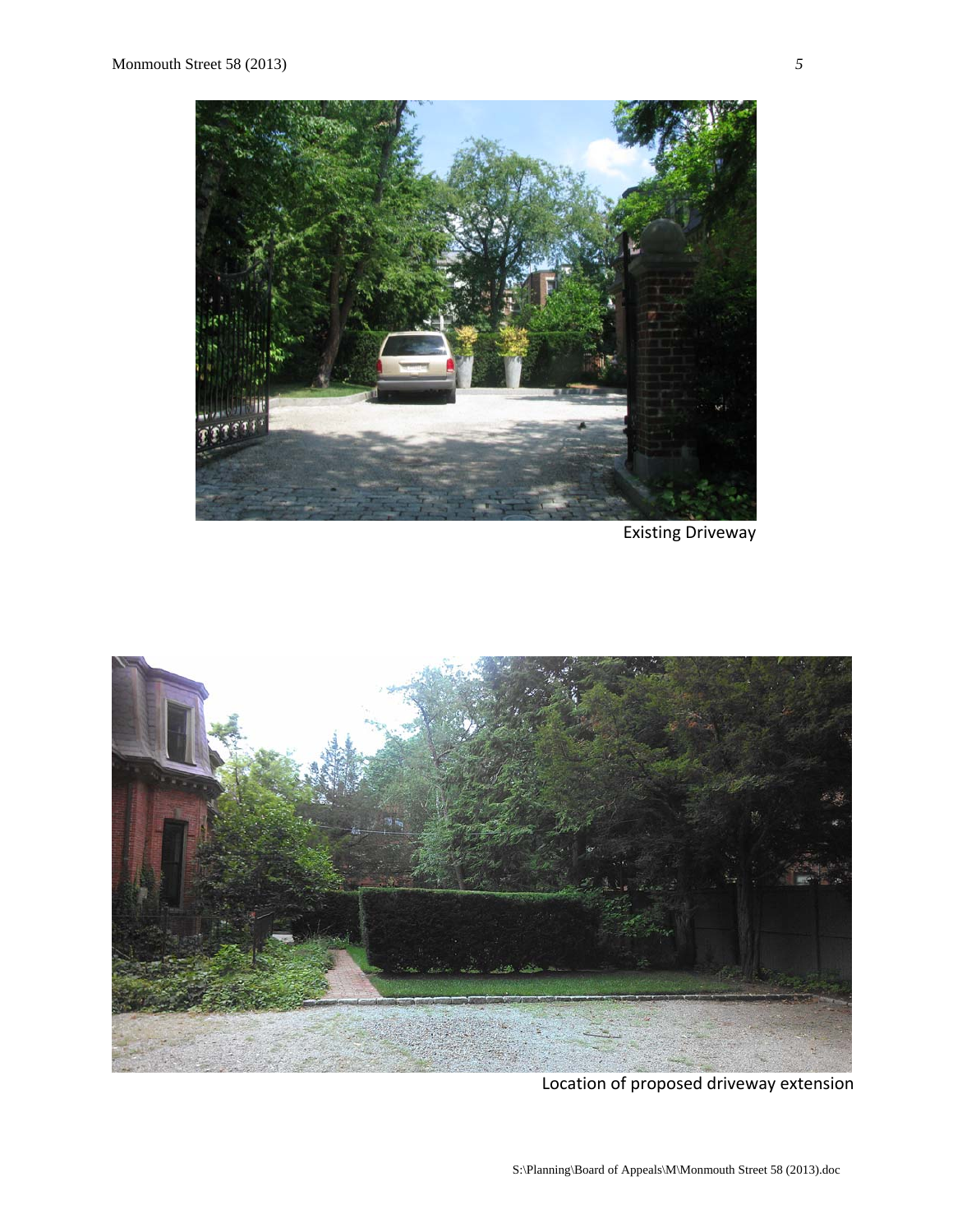

Existing Driveway



Location of proposed driveway extension